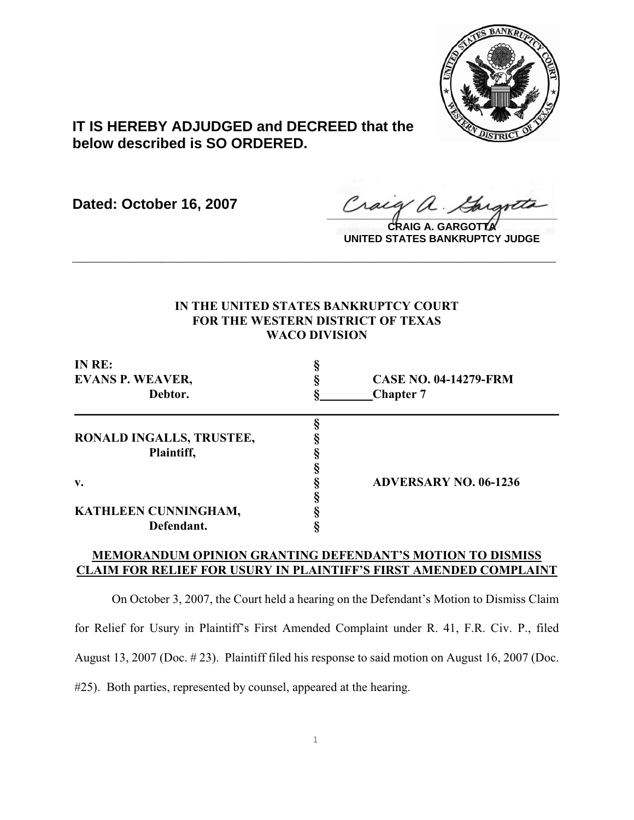

# **IT IS HEREBY ADJUDGED and DECREED that the below described is SO ORDERED.**

**Dated: October 16, 2007**

Craeg a. Gargotto

**CRAIG A. GARGOTTA UNITED STATES BANKRUPTCY JUDGE**

### **IN THE UNITED STATES BANKRUPTCY COURT FOR THE WESTERN DISTRICT OF TEXAS WACO DIVISION**

**\_\_\_\_\_\_\_\_\_\_\_\_\_\_\_\_\_\_\_\_\_\_\_\_\_\_\_\_\_\_\_\_\_\_\_\_\_\_\_\_\_\_\_\_\_\_\_\_\_\_\_\_\_\_\_\_\_\_\_\_**

| IN RE:<br><b>EVANS P. WEAVER,</b><br>Debtor. | <b>CASE NO. 04-14279-FRM</b><br><b>Chapter 7</b> |                          |  |
|----------------------------------------------|--------------------------------------------------|--------------------------|--|
|                                              |                                                  |                          |  |
|                                              |                                                  | RONALD INGALLS, TRUSTEE, |  |
| Plaintiff,                                   |                                                  |                          |  |
|                                              |                                                  |                          |  |
| v.                                           | <b>ADVERSARY NO. 06-1236</b>                     |                          |  |
|                                              |                                                  |                          |  |
| KATHLEEN CUNNINGHAM,                         |                                                  |                          |  |
| Defendant.                                   |                                                  |                          |  |

## **MEMORANDUM OPINION GRANTING DEFENDANT'S MOTION TO DISMISS CLAIM FOR RELIEF FOR USURY IN PLAINTIFF'S FIRST AMENDED COMPLAINT**

On October 3, 2007, the Court held a hearing on the Defendant's Motion to Dismiss Claim for Relief for Usury in Plaintiff's First Amended Complaint under R. 41, F.R. Civ. P., filed August 13, 2007 (Doc. # 23). Plaintiff filed his response to said motion on August 16, 2007 (Doc. #25). Both parties, represented by counsel, appeared at the hearing.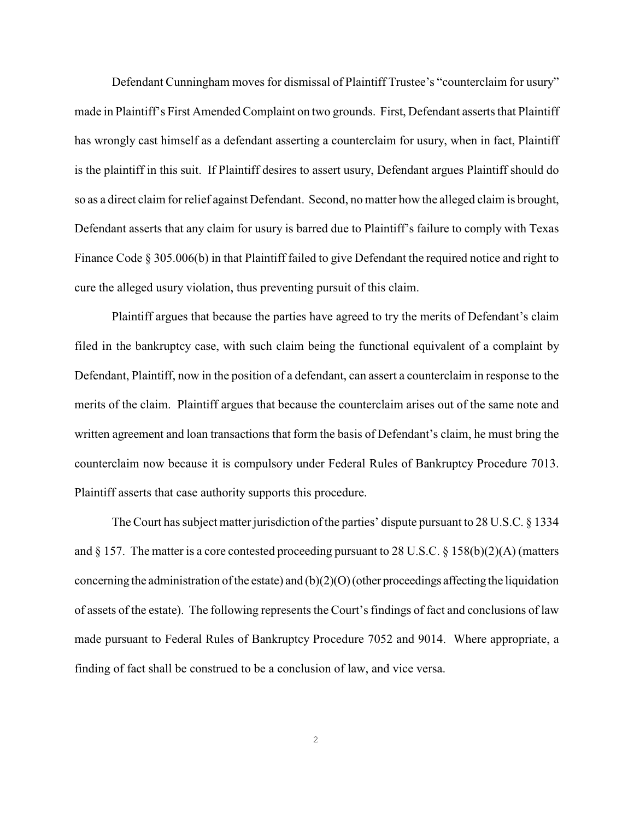Defendant Cunningham moves for dismissal of Plaintiff Trustee's "counterclaim for usury" made in Plaintiff's First Amended Complaint on two grounds. First, Defendant asserts that Plaintiff has wrongly cast himself as a defendant asserting a counterclaim for usury, when in fact, Plaintiff is the plaintiff in this suit. If Plaintiff desires to assert usury, Defendant argues Plaintiff should do so as a direct claim for relief against Defendant. Second, no matter how the alleged claim is brought, Defendant asserts that any claim for usury is barred due to Plaintiff's failure to comply with Texas Finance Code § 305.006(b) in that Plaintiff failed to give Defendant the required notice and right to cure the alleged usury violation, thus preventing pursuit of this claim.

Plaintiff argues that because the parties have agreed to try the merits of Defendant's claim filed in the bankruptcy case, with such claim being the functional equivalent of a complaint by Defendant, Plaintiff, now in the position of a defendant, can assert a counterclaim in response to the merits of the claim. Plaintiff argues that because the counterclaim arises out of the same note and written agreement and loan transactions that form the basis of Defendant's claim, he must bring the counterclaim now because it is compulsory under Federal Rules of Bankruptcy Procedure 7013. Plaintiff asserts that case authority supports this procedure.

The Court has subject matter jurisdiction of the parties' dispute pursuant to 28 U.S.C. § 1334 and § 157. The matter is a core contested proceeding pursuant to 28 U.S.C. § 158(b)(2)(A) (matters concerning the administration of the estate) and (b)(2)(O) (other proceedings affecting the liquidation of assets of the estate). The following represents the Court's findings of fact and conclusions of law made pursuant to Federal Rules of Bankruptcy Procedure 7052 and 9014. Where appropriate, a finding of fact shall be construed to be a conclusion of law, and vice versa.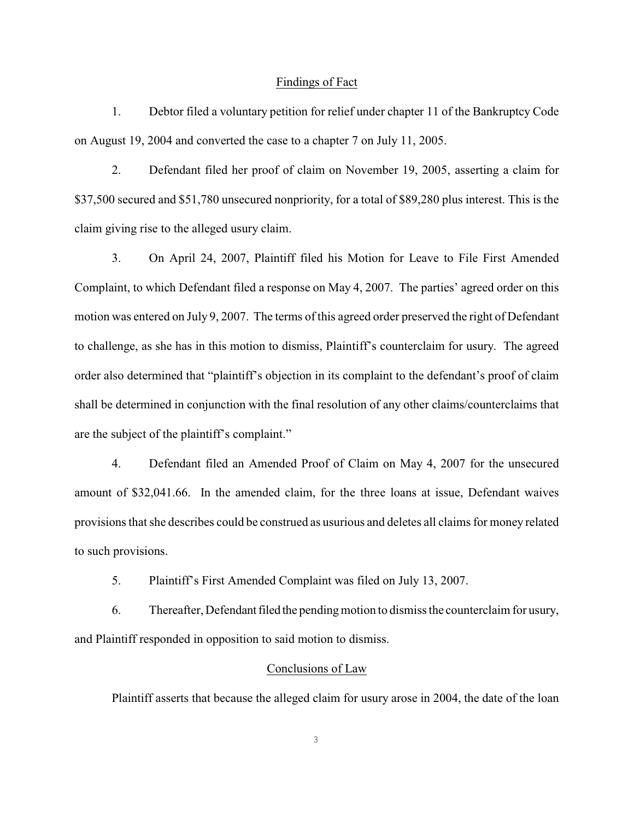#### Findings of Fact

1. Debtor filed a voluntary petition for relief under chapter 11 of the Bankruptcy Code on August 19, 2004 and converted the case to a chapter 7 on July 11, 2005.

2. Defendant filed her proof of claim on November 19, 2005, asserting a claim for \$37,500 secured and \$51,780 unsecured nonpriority, for a total of \$89,280 plus interest. This is the claim giving rise to the alleged usury claim.

3. On April 24, 2007, Plaintiff filed his Motion for Leave to File First Amended Complaint, to which Defendant filed a response on May 4, 2007. The parties' agreed order on this motion was entered on July 9, 2007. The terms of this agreed order preserved the right of Defendant to challenge, as she has in this motion to dismiss, Plaintiff's counterclaim for usury. The agreed order also determined that "plaintiff's objection in its complaint to the defendant's proof of claim shall be determined in conjunction with the final resolution of any other claims/counterclaims that are the subject of the plaintiff's complaint."

4. Defendant filed an Amended Proof of Claim on May 4, 2007 for the unsecured amount of \$32,041.66. In the amended claim, for the three loans at issue, Defendant waives provisions that she describes could be construed as usurious and deletes all claims for money related to such provisions.

5. Plaintiff's First Amended Complaint was filed on July 13, 2007.

6. Thereafter, Defendant filed the pending motion to dismiss the counterclaim for usury, and Plaintiff responded in opposition to said motion to dismiss.

### Conclusions of Law

Plaintiff asserts that because the alleged claim for usury arose in 2004, the date of the loan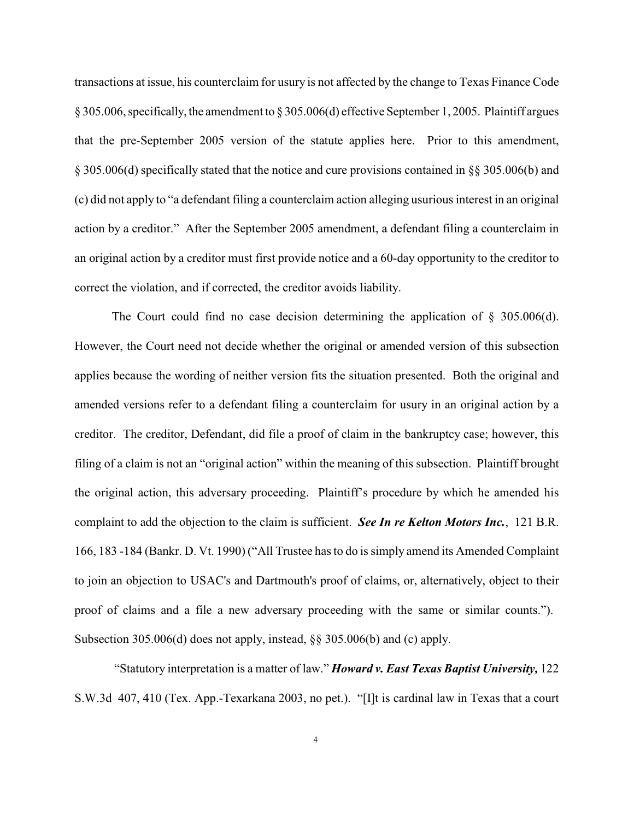transactions at issue, his counterclaim for usury is not affected by the change to Texas Finance Code § 305.006, specifically, the amendment to § 305.006(d) effective September 1, 2005. Plaintiff argues that the pre-September 2005 version of the statute applies here. Prior to this amendment, § 305.006(d) specifically stated that the notice and cure provisions contained in §§ 305.006(b) and (c) did not apply to "a defendant filing a counterclaim action alleging usurious interest in an original action by a creditor." After the September 2005 amendment, a defendant filing a counterclaim in an original action by a creditor must first provide notice and a 60-day opportunity to the creditor to correct the violation, and if corrected, the creditor avoids liability.

The Court could find no case decision determining the application of  $\S$  305.006(d). However, the Court need not decide whether the original or amended version of this subsection applies because the wording of neither version fits the situation presented. Both the original and amended versions refer to a defendant filing a counterclaim for usury in an original action by a creditor. The creditor, Defendant, did file a proof of claim in the bankruptcy case; however, this filing of a claim is not an "original action" within the meaning of this subsection. Plaintiff brought the original action, this adversary proceeding. Plaintiff's procedure by which he amended his complaint to add the objection to the claim is sufficient. *See In re Kelton Motors Inc.*, 121 B.R. 166, 183 -184 (Bankr. D. Vt. 1990) ("All Trustee has to do is simply amend its Amended Complaint to join an objection to USAC's and Dartmouth's proof of claims, or, alternatively, object to their proof of claims and a file a new adversary proceeding with the same or similar counts."). Subsection 305.006(d) does not apply, instead, §§ 305.006(b) and (c) apply.

 "Statutory interpretation is a matter of law." *Howard v. East Texas Baptist University,* 122 S.W.3d 407, 410 (Tex. App.-Texarkana 2003, no pet.). "[I]t is cardinal law in Texas that a court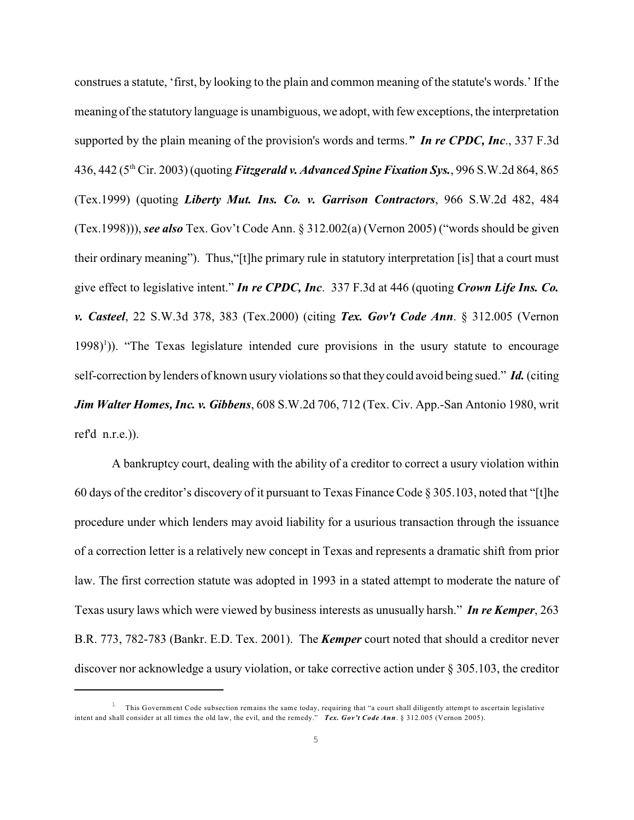construes a statute, 'first, by looking to the plain and common meaning of the statute's words.' If the meaning of the statutory language is unambiguous, we adopt, with few exceptions, the interpretation supported by the plain meaning of the provision's words and terms.*" In re CPDC, Inc*., 337 F.3d 436, 442 (5<sup>th</sup> Cir. 2003) (quoting *Fitzgerald v. Advanced Spine Fixation Sys.*, 996 S.W.2d 864, 865 (Tex.1999) (quoting *Liberty Mut. Ins. Co. v. Garrison Contractors*, 966 S.W.2d 482, 484 (Tex.1998))), *see also* Tex. Gov't Code Ann. § 312.002(a) (Vernon 2005) ("words should be given their ordinary meaning"). Thus,"[t]he primary rule in statutory interpretation [is] that a court must give effect to legislative intent." *In re CPDC, Inc*. 337 F.3d at 446 (quoting *Crown Life Ins. Co. v. Casteel*, 22 S.W.3d 378, 383 (Tex.2000) (citing *Tex. Gov't Code Ann*. § 312.005 (Vernon  $1998$ <sup> $1$ </sup>)). "The Texas legislature intended cure provisions in the usury statute to encourage self-correction by lenders of known usury violations so that they could avoid being sued." *Id.* (citing *Jim Walter Homes, Inc. v. Gibbens*, 608 S.W.2d 706, 712 (Tex. Civ. App.-San Antonio 1980, writ ref'd n.r.e.)).

A bankruptcy court, dealing with the ability of a creditor to correct a usury violation within 60 days of the creditor's discovery of it pursuant to Texas Finance Code § 305.103, noted that "[t]he procedure under which lenders may avoid liability for a usurious transaction through the issuance of a correction letter is a relatively new concept in Texas and represents a dramatic shift from prior law. The first correction statute was adopted in 1993 in a stated attempt to moderate the nature of Texas usury laws which were viewed by business interests as unusually harsh." *In re Kemper*, 263 B.R. 773, 782-783 (Bankr. E.D. Tex. 2001). The *Kemper* court noted that should a creditor never discover nor acknowledge a usury violation, or take corrective action under § 305.103, the creditor

This Government Code subsection remains the same today, requiring that "a court shall diligently attempt to ascertain legislative 1 intent and shall consider at all times the old law, the evil, and the remedy." *Tex. Gov't Code Ann*. § 312.005 (Vernon 2005).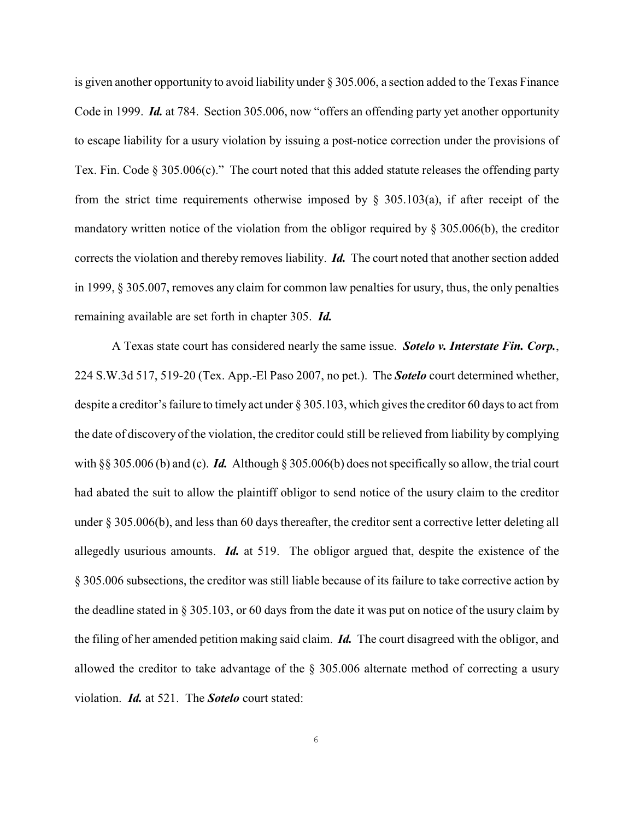is given another opportunity to avoid liability under § 305.006, a section added to the Texas Finance Code in 1999. *Id.* at 784. Section 305.006, now "offers an offending party yet another opportunity to escape liability for a usury violation by issuing a post-notice correction under the provisions of Tex. Fin. Code § 305.006(c)." The court noted that this added statute releases the offending party from the strict time requirements otherwise imposed by  $\S$  305.103(a), if after receipt of the mandatory written notice of the violation from the obligor required by  $\S 305.006(b)$ , the creditor corrects the violation and thereby removes liability. *Id.* The court noted that another section added in 1999, § 305.007, removes any claim for common law penalties for usury, thus, the only penalties remaining available are set forth in chapter 305. *Id.*

A Texas state court has considered nearly the same issue. *Sotelo v. Interstate Fin. Corp.*, 224 S.W.3d 517, 519-20 (Tex. App.-El Paso 2007, no pet.). The *Sotelo* court determined whether, despite a creditor's failure to timely act under § 305.103, which gives the creditor 60 days to act from the date of discovery of the violation, the creditor could still be relieved from liability by complying with §§ 305.006 (b) and (c). *Id.* Although § 305.006(b) does not specifically so allow, the trial court had abated the suit to allow the plaintiff obligor to send notice of the usury claim to the creditor under § 305.006(b), and less than 60 days thereafter, the creditor sent a corrective letter deleting all allegedly usurious amounts. *Id.* at 519. The obligor argued that, despite the existence of the § 305.006 subsections, the creditor was still liable because of its failure to take corrective action by the deadline stated in § 305.103, or 60 days from the date it was put on notice of the usury claim by the filing of her amended petition making said claim. *Id.* The court disagreed with the obligor, and allowed the creditor to take advantage of the § 305.006 alternate method of correcting a usury violation. *Id.* at 521. The *Sotelo* court stated: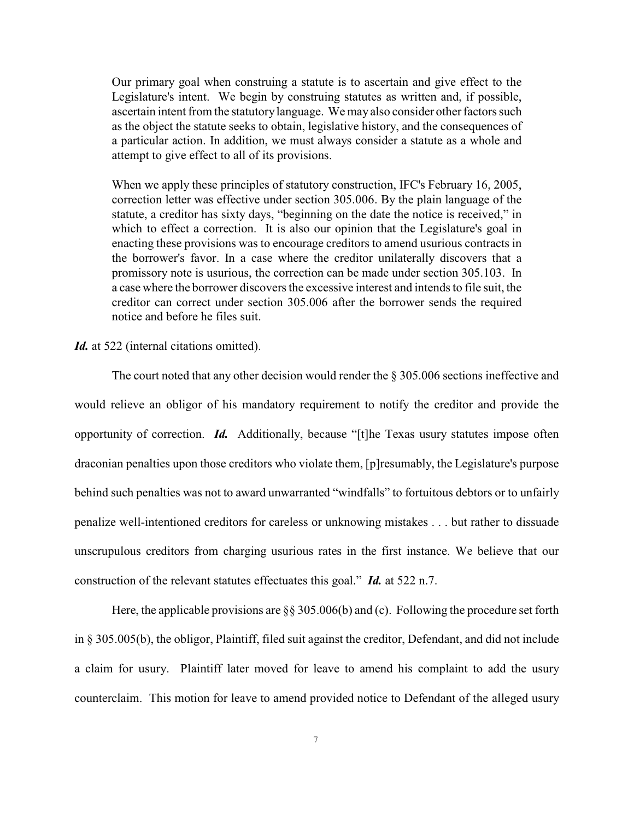Our primary goal when construing a statute is to ascertain and give effect to the Legislature's intent. We begin by construing statutes as written and, if possible, ascertain intent from the statutory language. We may also consider other factors such as the object the statute seeks to obtain, legislative history, and the consequences of a particular action. In addition, we must always consider a statute as a whole and attempt to give effect to all of its provisions.

When we apply these principles of statutory construction, IFC's February 16, 2005, correction letter was effective under section 305.006. By the plain language of the statute, a creditor has sixty days, "beginning on the date the notice is received," in which to effect a correction. It is also our opinion that the Legislature's goal in enacting these provisions was to encourage creditors to amend usurious contracts in the borrower's favor. In a case where the creditor unilaterally discovers that a promissory note is usurious, the correction can be made under section 305.103. In a case where the borrower discovers the excessive interest and intends to file suit, the creditor can correct under section 305.006 after the borrower sends the required notice and before he files suit.

#### *Id.* at 522 (internal citations omitted).

The court noted that any other decision would render the § 305.006 sections ineffective and would relieve an obligor of his mandatory requirement to notify the creditor and provide the opportunity of correction. *Id.* Additionally, because "[t]he Texas usury statutes impose often draconian penalties upon those creditors who violate them, [p]resumably, the Legislature's purpose behind such penalties was not to award unwarranted "windfalls" to fortuitous debtors or to unfairly penalize well-intentioned creditors for careless or unknowing mistakes . . . but rather to dissuade unscrupulous creditors from charging usurious rates in the first instance. We believe that our construction of the relevant statutes effectuates this goal." *Id.* at 522 n.7.

Here, the applicable provisions are  $\S$  305.006(b) and (c). Following the procedure set forth in § 305.005(b), the obligor, Plaintiff, filed suit against the creditor, Defendant, and did not include a claim for usury. Plaintiff later moved for leave to amend his complaint to add the usury counterclaim. This motion for leave to amend provided notice to Defendant of the alleged usury